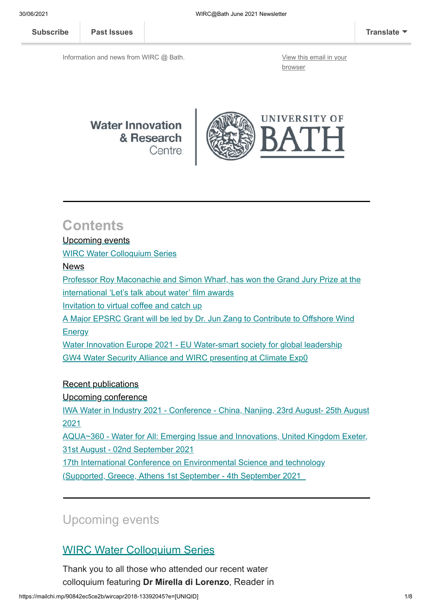**[Subscribe](http://eepurl.com/bKjQGL) [Past Issues](https://us12.campaign-archive.com/home/?u=d7614ea34eb388bb6f0caa07a&id=d688d5b543) [Translate](javascript:;)**

Information and news from WIRC @ Bath. [View this email in your](https://mailchi.mp/90842ec5ce2b/wircapr2018-13392045?e=[UNIQID])

browser



# **Contents**

#### [Upcoming events](#page-0-0)

[WIRC Water Colloquium Series](#page-0-1)

#### [News](#page-1-0)

[Professor Roy Maconachie and Simon Wharf, has won the Grand Jury Prize at the](#page-1-1) international 'Let's talk about water' film awards

[Invitation to virtual coffee and catch up](#page-2-0)

[A Major EPSRC Grant will be led by Dr. Jun Zang to Contribute to Offshore Wind](#page-2-1)

**Energy** 

Water Innovation Europe [2021 - EU Water-smart society for global leadership](#page-3-0) [GW4 Water Security Alliance and WIRC presenting at Climate Exp0](#page-4-0)

#### [Recent publications](#page-5-0)

#### [Upcoming conference](#page-6-0)

[IWA Water in Industry 2021 - Conference - China, Nanjing, 23rd August- 25th August](#page-6-1) 2021

[AQUA~360 - Water for All: Emerging Issue and Innovations, United Kingdom Exeter,](#page-6-2) 31st August - 02nd September 2021

[17th International Conference on Environmental Science and technology](#page-6-3)

(Supported, Greece, Athens 1st September - 4th September 2021

# <span id="page-0-0"></span>Upcoming events

## <span id="page-0-1"></span>WIRC Water Colloquium Series

Thank you to all those who attended our recent water colloquium featuring **Dr Mirella di Lorenzo**, Reader in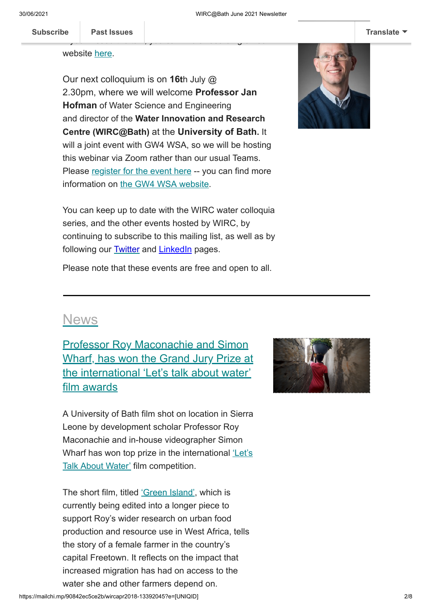If you missed the talk, you can find a recording on our

Che[mical Engineerin](https://us12.campaign-archive.com/home/?u=d7614ea34eb388bb6f0caa07a&id=d688d5b543)g here at the University of Bath. Bath. Bath. Bath. Bath. Bath. Bath. Bath. Bath. Bath. Bath. Bath. Bath. Bath. Bath. Bath. Bath. Bath. Bath. Bath. Bath. Bath. Bath. Bath. Bath. Bath. Bath. Bath. Bath. B **[Subscribe](http://eepurl.com/bKjQGL) Past Issues [Translate](javascript:;)**

website [here](https://www.bath.ac.uk/corporate-information/wirc-water-colloquium-24-06-2021-dr-mirella-di-lorenzo/).

Our next colloquium is on **16t**h July @ 2.30pm, where we will welcome **Professor Jan Hofman** of Water Science and Engineering and director of the **Water Innovation and Research Centre (WIRC@Bath)** at the **University of Bath.** It will a joint event with GW4 WSA, so we will be hosting this webinar via Zoom rather than our usual Teams. Please [register for the event here](https://us02web.zoom.us/meeting/register/tZUvf-mrrTopHdx0NifNRl_dlI-HIS4REIvy) -- you can find more information on [the GW4 WSA website.](https://gw4water.com/events/gw4-wsa-webinar-series/#Jan-Hofman)



You can keep up to date with the WIRC water colloquia series, and the other events hosted by WIRC, by continuing to subscribe to this mailing list, as well as by following our **[Twitter](https://eur01.safelinks.protection.outlook.com/?url=https%3A%2F%2Ftwitter.com%2FWIRCBath&data=04%7C01%7Cses64%40bath.ac.uk%7Cfad986eb7b114a9b2e1f08d90977014b%7C377e3d224ea1422db0ad8fcc89406b9e%7C0%7C0%7C637551228996532068%7CUnknown%7CTWFpbGZsb3d8eyJWIjoiMC4wLjAwMDAiLCJQIjoiV2luMzIiLCJBTiI6Ik1haWwiLCJXVCI6Mn0%3D%7C1000&sdata=8WZzBp9Xv28Ja3hR83x5UsoAMyBy6%2FUBXl1oq4fa%2BsY%3D&reserved=0)** and **LinkedIn** pages.

Please note that these events are free and open to all.

## <span id="page-1-0"></span>News

<span id="page-1-1"></span>Professor Roy Maconachie and Simon Wharf, has won the Grand Jury Prize at the international 'Let's talk about water' film awards

A University of Bath film shot on location in Sierra Leone by development scholar Professor Roy Maconachie and in-house videographer Simon [Wharf has won top prize in the international](https://youtu.be/mJW3iUN-ckE?t=3724) 'Let's Talk About Water' film competition.

The short film, titled ['Green Island'](https://vimeo.com/uniofbath/greenisland), which is currently being edited into a longer piece to support Roy's wider research on urban food production and resource use in West Africa, tells the story of a female farmer in the country's capital Freetown. It reflects on the impact that increased migration has had on access to the water she and other farmers depend on.

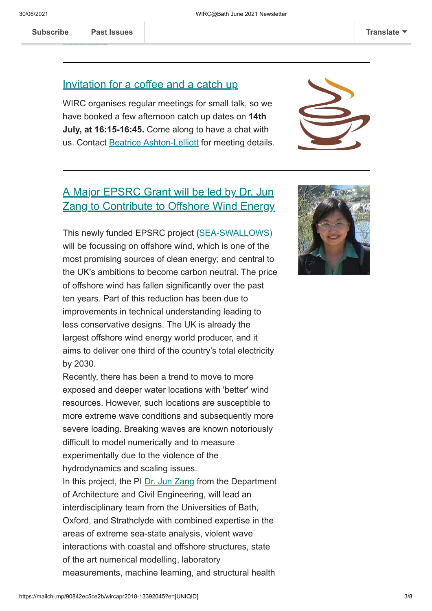**[Read more](https://www.bath.ac.uk/announcements/university-of-bath-film-takes-top-honours-at-international-award-ceremony/)**

#### <span id="page-2-0"></span>Invitation for a coffee and a catch up

WIRC organises regular meetings for small talk, so we have booked a few afternoon catch up dates on **14th July, at 16:15-16:45.** Come along to have a chat with us. Contact [Beatrice Ashton-Lelliott](mailto:baal20@bath.ac.uk) for meeting details.



## <span id="page-2-1"></span>A Major EPSRC Grant will be led by Dr. Jun **Zang to Contribute to Offshore Wind Energy**

This newly funded EPSRC project **(**[SEA-SWALLOWS\)](https://gow.epsrc.ukri.org/NGBOViewGrant.aspx?GrantRef=EP/V050079/1) will be focussing on offshore wind, which is one of the most promising sources of clean energy; and central to the UK's ambitions to become carbon neutral. The price of offshore wind has fallen significantly over the past ten years. Part of this reduction has been due to improvements in technical understanding leading to less conservative designs. The UK is already the largest offshore wind energy world producer, and it aims to deliver one third of the country's total electricity by 2030.

Recently, there has been a trend to move to more exposed and deeper water locations with 'better' wind resources. However, such locations are susceptible to more extreme wave conditions and subsequently more severe loading. Breaking waves are known notoriously difficult to model numerically and to measure experimentally due to the violence of the hydrodynamics and scaling issues.

In this project, the PI [Dr. Jun Zang](https://researchportal.bath.ac.uk/en/persons/jun-zang) from the Department of Architecture and Civil Engineering, will lead an interdisciplinary team from the Universities of Bath, Oxford, and Strathclyde with combined expertise in the areas of extreme sea-state analysis, violent wave interactions with coastal and offshore structures, state of the art numerical modelling, laboratory measurements, machine learning, and structural health

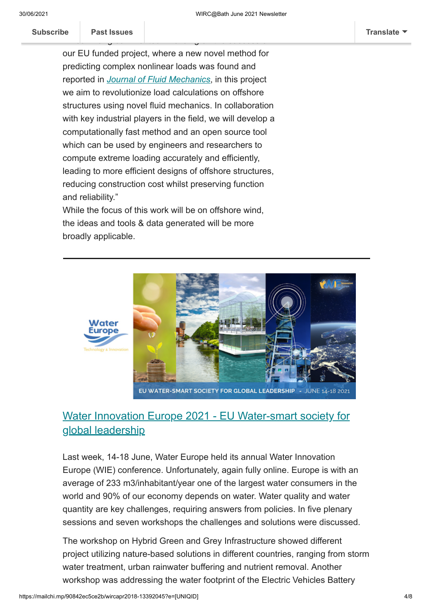Subscribe **Past Issues [Subscribe](http://eepurl.com/bKjQGL) Past Issues [Translate](javascript:;)**

our EU funded project, where a new novel method for predicting complex nonlinear loads was found and reported in *[Journal of Fluid Mechanics](https://www.cambridge.org/core/journals/journal-of-fluid-mechanics/article/an-experimental-decomposition-of-nonlinear-forces-on-a-surfacepiercing-column-stokestype-expansions-of-the-force-harmonics/10AF455C386EC129FE4F1DF893B94EED)*, in this project we aim to revolutionize load calculations on offshore structures using novel fluid mechanics. In collaboration with key industrial players in the field, we will develop a computationally fast method and an open source tool which can be used by engineers and researchers to compute extreme loading accurately and efficiently, leading to more efficient designs of offshore structures, reducing construction cost whilst preserving function and reliability."

Dr. Jun Zang commented: "Building on the success of

While the focus of this work will be on offshore wind, the ideas and tools & data generated will be more broadly applicable.



#### EU WATER-SMART SOCIETY FOR GLOBAL LEADERSHIP -JUNE 14-18 2021

#### <span id="page-3-0"></span>Water Innovation Europe 2021 - EU Water-smart society for global leadership

Last week, 14-18 June, Water Europe held its annual Water Innovation Europe (WIE) conference. Unfortunately, again fully online. Europe is with an average of 233 m3/inhabitant/year one of the largest water consumers in the world and 90% of our economy depends on water. Water quality and water quantity are key challenges, requiring answers from policies. In five plenary sessions and seven workshops the challenges and solutions were discussed.

The workshop on Hybrid Green and Grey Infrastructure showed different project utilizing nature-based solutions in different countries, ranging from storm water treatment, urban rainwater buffering and nutrient removal. Another workshop was addressing the water footprint of the Electric Vehicles Battery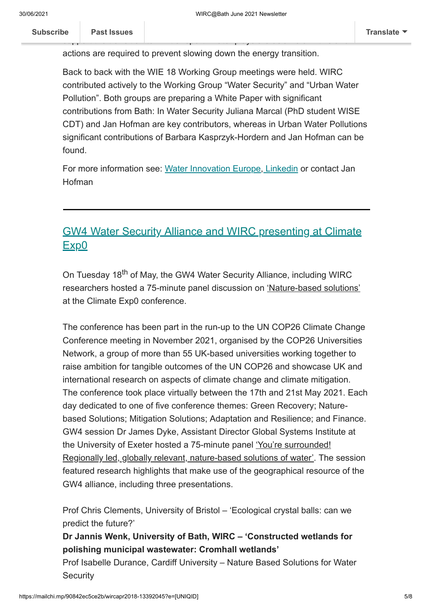sup[port the transition](https://us12.campaign-archive.com/home/?u=d7614ea34eb388bb6f0caa07a&id=d688d5b543) to EV transport. Water plays a crucial role in this and

Back to back with the WIE 18 Working Group meetings were held. WIRC contributed actively to the Working Group "Water Security" and "Urban Water Pollution". Both groups are preparing a White Paper with significant contributions from Bath: In Water Security Juliana Marcal (PhD student WISE CDT) and Jan Hofman are key contributors, whereas in Urban Water Pollutions significant contributions of Barbara Kasprzyk-Hordern and Jan Hofman can be found.

Value Chain. The coming years new battery recycling facilities are required to

actions are required to prevent slowing down the energy transition.

For more information see: [Water Innovation Europe,](https://waterinnovationeurope.eu/) [Linkedin](https://www.linkedin.com/company/watereurope/) or contact Jan Hofman

## <span id="page-4-0"></span>GW4 Water Security Alliance and WIRC presenting at Climate Exp0

On Tuesday 18<sup>th</sup> of May, the GW4 Water Security Alliance, including WIRC researchers hosted a 75-minute panel discussion on 'Nature-based solutions' at the Climate Exp0 conference.

The conference has been part in the run-up to the UN COP26 Climate Change Conference meeting in November 2021, organised by the COP26 Universities Network, a group of more than 55 UK-based universities working together to raise ambition for tangible outcomes of the UN COP26 and showcase UK and international research on aspects of climate change and climate mitigation. The conference took place virtually between the 17th and 21st May 2021. Each day dedicated to one of five conference themes: Green Recovery; Naturebased Solutions; Mitigation Solutions; Adaptation and Resilience; and Finance. GW4 session Dr James Dyke, Assistant Director Global Systems Institute at the University of Exeter hosted a 75-minute panel 'You're surrounded! Regionally led, globally relevant, nature-based solutions of water'. The session featured research highlights that make use of the geographical resource of the GW4 alliance, including three presentations.

Prof Chris Clements, University of Bristol – 'Ecological crystal balls: can we predict the future?'

**Dr Jannis Wenk, University of Bath, WIRC – 'Constructed wetlands for polishing municipal wastewater: Cromhall wetlands'**

Prof Isabelle Durance, Cardiff University – Nature Based Solutions for Water **Security**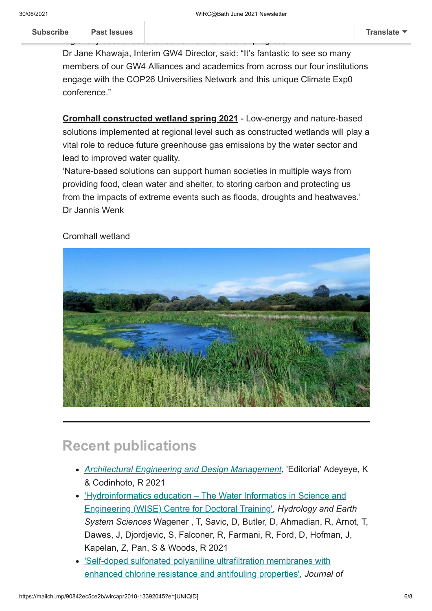Dr Jane Khawaja, Interim GW4 Director, said: "It's fantastic to see so many members of our GW4 Alliances and academics from across our four institutions engage with the COP26 Universities Network and this unique Climate Exp0 conference."

regionally based research can drive international progress.

**Cromhall constructed wetland spring 2021** - Low-energy and nature-based solutions implemented at regional level such as constructed wetlands will play a vital role to reduce future greenhouse gas emissions by the water sector and lead to improved water quality.

'Nature-based solutions can support human societies in multiple ways from providing food, clean water and shelter, to storing carbon and protecting us from the impacts of extreme events such as floods, droughts and heatwaves.' Dr Jannis Wenk

#### Cromhall wetland



# <span id="page-5-0"></span>**Recent publications**

- *[Architectural Engineering and Design Management](https://www.tandfonline.com/doi/full/10.1080/17452007.2021.1857090)*, 'Editorial' Adeyeye, K & Codinhoto, R 2021
- ['Hydroinformatics education The Water Informatics in Science and](https://hess.copernicus.org/articles/25/2721/2021/) Engineering (WISE) Centre for Doctoral Training', *Hydrology and Earth System Sciences* Wagener , T, Savic, D, Butler, D, Ahmadian, R, Arnot, T, Dawes, J, Djordjevic, S, Falconer, R, Farmani, R, Ford, D, Hofman, J, Kapelan, Z, Pan, S & Woods, R 2021
- ['Self-doped sulfonated polyaniline ultrafiltration membranes with](https://onlinelibrary.wiley.com/doi/10.1002/app.50756) enhanced chlorine resistance and antifouling properties', *Journal of*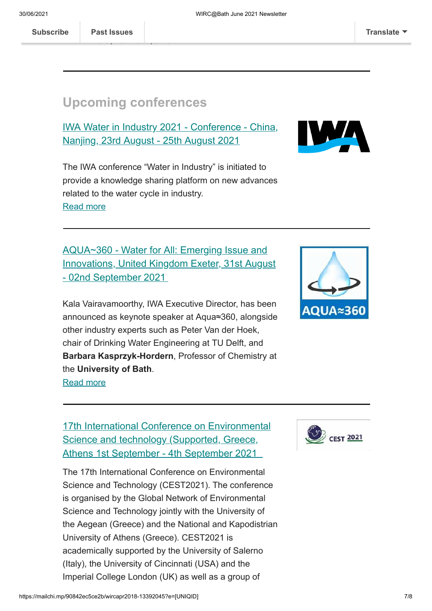## <span id="page-6-0"></span>**Upcoming conferences**

Amura, I & Wenk, J 2021

<span id="page-6-1"></span>IWA Water in Industry 2021 - Conference - China, Nanjing, 23rd August - 25th August 2021



The IWA conference "Water in Industry" is initiated to provide a knowledge sharing platform on new advances related to the water cycle in industry. [Read more](https://iwa-network.org/events/iwa-conference-water-in-industry-2020/)

<span id="page-6-2"></span>AQUA~360 - Water for All: Emerging Issue and Innovations, United Kingdom Exeter, 31st August - 02nd September 2021

Kala Vairavamoorthy, IWA Executive Director, has been announced as keynote speaker at Aqua≈360, alongside other industry experts such as Peter Van der Hoek, chair of Drinking Water Engineering at TU Delft, and **Barbara Kasprzyk-Hordern**, Professor of Chemistry at the **University of Bath**. [Read more](https://iwa-network.org/events/aqua%e2%89%88360-water-for-all-emerging-issues-and-innovations/)



### <span id="page-6-3"></span>17th International Conference on Environmental Science and technology (Supported, Greece, Athens 1st September - 4th September 2021

The 17th International Conference on Environmental Science and Technology (CEST2021). The conference is organised by the Global Network of Environmental Science and Technology jointly with the University of the Aegean (Greece) and the National and Kapodistrian University of Athens (Greece). CEST2021 is academically supported by the University of Salerno (Italy), the University of Cincinnati (USA) and the Imperial College London (UK) as well as a group of